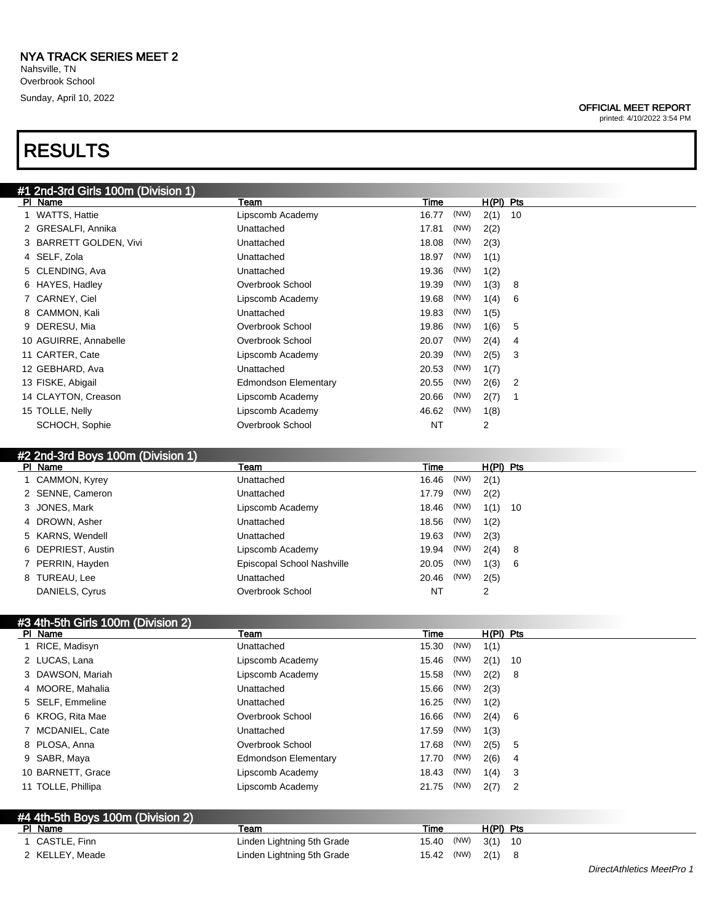Nahsville, TN Overbrook School Sunday, April 10, 2022

# RESULTS

| #1 2nd-3rd Girls 100m (Division 1) |                             |       |      |           |    |
|------------------------------------|-----------------------------|-------|------|-----------|----|
| PI Name                            | Team                        | Time  |      | H(PI) Pts |    |
| 1 WATTS, Hattie                    | Lipscomb Academy            | 16.77 | (NW) | 2(1)      | 10 |
| 2 GRESALFI, Annika                 | Unattached                  | 17.81 | (NW) | 2(2)      |    |
| 3 BARRETT GOLDEN, Vivi             | Unattached                  | 18.08 | (NW) | 2(3)      |    |
| 4 SELF, Zola                       | Unattached                  | 18.97 | (NW) | 1(1)      |    |
| 5 CLENDING, Ava                    | Unattached                  | 19.36 | (NW) | 1(2)      |    |
| 6 HAYES, Hadley                    | Overbrook School            | 19.39 | (NW) | 1(3)      | 8  |
| 7 CARNEY, Ciel                     | Lipscomb Academy            | 19.68 | (NW) | 1(4)      | 6  |
| 8 CAMMON, Kali                     | Unattached                  | 19.83 | (NW) | 1(5)      |    |
| 9 DERESU, Mia                      | Overbrook School            | 19.86 | (NW) | 1(6)      | 5  |
| 10 AGUIRRE, Annabelle              | Overbrook School            | 20.07 | (NW) | 2(4)      | 4  |
| 11 CARTER, Cate                    | Lipscomb Academy            | 20.39 | (NW) | 2(5)      | 3  |
| 12 GEBHARD, Ava                    | Unattached                  | 20.53 | (NW) | 1(7)      |    |
| 13 FISKE, Abigail                  | <b>Edmondson Elementary</b> | 20.55 | (NW) | 2(6)      | 2  |
| 14 CLAYTON, Creason                | Lipscomb Academy            | 20.66 | (NW) | 2(7)      |    |
| 15 TOLLE, Nelly                    | Lipscomb Academy            | 46.62 | (NW) | 1(8)      |    |
| SCHOCH, Sophie                     | Overbrook School            | NT    |      | 2         |    |
|                                    |                             |       |      |           |    |

#### #2 2nd-3rd Boys 100m (Division 1)

| PI Name            | Team                       | Time          | $H(PI)$ Pts |  |
|--------------------|----------------------------|---------------|-------------|--|
| 1 CAMMON, Kyrey    | Unattached                 | (NW)<br>16.46 | 2(1)        |  |
| 2 SENNE, Cameron   | Unattached                 | (NW)<br>17.79 | 2(2)        |  |
| 3 JONES, Mark      | Lipscomb Academy           | (NW)<br>18.46 | $1(1)$ 10   |  |
| 4 DROWN, Asher     | Unattached                 | (NW)<br>18.56 | 1(2)        |  |
| 5 KARNS, Wendell   | Unattached                 | (NW)<br>19.63 | 2(3)        |  |
| 6 DEPRIEST, Austin | Lipscomb Academy           | (NW)<br>19.94 | 2(4) 8      |  |
| 7 PERRIN, Hayden   | Episcopal School Nashville | (NW)<br>20.05 | 1(3) 6      |  |
| 8 TUREAU, Lee      | Unattached                 | (NW)<br>20.46 | 2(5)        |  |
| DANIELS, Cyrus     | Overbrook School           | <b>NT</b>     | 2           |  |

## #3 4th-5th Girls 100m (Division 2)

| PI Name                           | Team                        | Time  |      | $H(PI)$ Pts |                |
|-----------------------------------|-----------------------------|-------|------|-------------|----------------|
| 1 RICE, Madisyn                   | Unattached                  | 15.30 | (NW) | 1(1)        |                |
| 2 LUCAS, Lana                     | Lipscomb Academy            | 15.46 | (NW) | 2(1)        | - 10           |
| 3 DAWSON, Mariah                  | Lipscomb Academy            | 15.58 | (NW) | 2(2)        | - 8            |
| 4 MOORE, Mahalia                  | Unattached                  | 15.66 | (NW) | 2(3)        |                |
| 5 SELF, Emmeline                  | Unattached                  | 16.25 | (NW) | 1(2)        |                |
| 6 KROG, Rita Mae                  | Overbrook School            | 16.66 | (NW) | 2(4)        | - 6            |
| 7 MCDANIEL, Cate                  | Unattached                  | 17.59 | (NW) | 1(3)        |                |
| 8 PLOSA, Anna                     | Overbrook School            | 17.68 | (NW) | 2(5)        | -5             |
| 9 SABR, Maya                      | <b>Edmondson Elementary</b> | 17.70 | (NW) | 2(6)        | 4              |
| 10 BARNETT, Grace                 | Lipscomb Academy            | 18.43 | (NW) | 1(4)        | - 3            |
| 11 TOLLE, Phillipa                | Lipscomb Academy            | 21.75 | (NW) | 2(7)        | $\overline{2}$ |
|                                   |                             |       |      |             |                |
| #4 4th-5th Boys 100m (Division 2) |                             |       |      |             |                |

| PI Name         | <b>Team</b>                | Time               | H(PI) Pts |  |
|-----------------|----------------------------|--------------------|-----------|--|
| 1 CASTLE, Finn  | Linden Lightning 5th Grade | 15.40 (NW) 3(1) 10 |           |  |
| 2 KELLEY, Meade | Linden Lightning 5th Grade | 15.42 (NW) $2(1)$  |           |  |

#### OFFICIAL MEET REPORT

printed: 4/10/2022 3:54 PM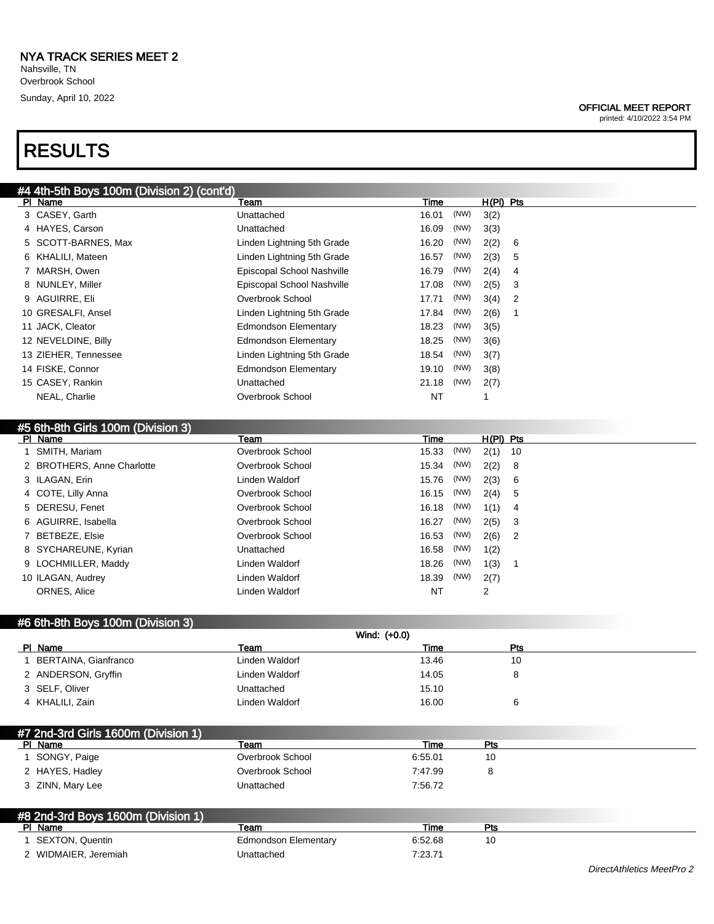Nahsville, TN Overbrook School Sunday, April 10, 2022

# RESULTS

#### OFFICIAL MEET REPORT

printed: 4/10/2022 3:54 PM

| #4 4th-5th Boys 100m (Division 2) (cont'd) |                             |             |      |             |                |
|--------------------------------------------|-----------------------------|-------------|------|-------------|----------------|
| PI Name                                    | Team                        | Time        |      | $H(PI)$ Pts |                |
| 3 CASEY, Garth                             | Unattached                  | 16.01       | (NW) | 3(2)        |                |
| 4 HAYES, Carson                            | Unattached                  | 16.09       | (NW) | 3(3)        |                |
| 5 SCOTT-BARNES, Max                        | Linden Lightning 5th Grade  | 16.20       | (NW) | 2(2)        | 6              |
| 6 KHALILI, Mateen                          | Linden Lightning 5th Grade  | 16.57       | (NW) | 2(3)        | 5              |
| 7 MARSH, Owen                              | Episcopal School Nashville  | 16.79       | (NW) | 2(4)        | 4              |
| 8 NUNLEY, Miller                           | Episcopal School Nashville  | 17.08       | (NW) | 2(5)        | 3              |
| 9 AGUIRRE, Eli                             | Overbrook School            | 17.71       | (NW) | 3(4)        | 2              |
| 10 GRESALFI, Ansel                         | Linden Lightning 5th Grade  | 17.84       | (NW) | 2(6)        | -1             |
| 11 JACK, Cleator                           | <b>Edmondson Elementary</b> | 18.23       | (NW) | 3(5)        |                |
| 12 NEVELDINE, Billy                        | <b>Edmondson Elementary</b> | 18.25       | (NW) | 3(6)        |                |
| 13 ZIEHER, Tennessee                       | Linden Lightning 5th Grade  | 18.54       | (NW) | 3(7)        |                |
| 14 FISKE, Connor                           | <b>Edmondson Elementary</b> | 19.10       | (NW) | 3(8)        |                |
| 15 CASEY, Rankin                           | Unattached                  | 21.18       | (NW) | 2(7)        |                |
| NEAL, Charlie                              | Overbrook School            | NT          |      | 1           |                |
|                                            |                             |             |      |             |                |
| #5 6th-8th Girls 100m (Division 3)         |                             |             |      |             |                |
| PI Name                                    | Team                        | Time        |      | $H(PI)$ Pts |                |
| 1 SMITH, Mariam                            | Overbrook School            | 15.33       | (NW) | 2(1)        | 10             |
| 2 BROTHERS, Anne Charlotte                 | Overbrook School            | 15.34       | (NW) | 2(2)        | 8              |
| 3 ILAGAN, Erin                             | Linden Waldorf              | 15.76       | (NW) | 2(3)        | 6              |
| 4 COTE, Lilly Anna                         | Overbrook School            | 16.15       | (NW) | 2(4)        | 5              |
| 5 DERESU, Fenet                            | Overbrook School            | 16.18       | (NW) | 1(1)        | 4              |
| 6 AGUIRRE, Isabella                        | Overbrook School            | 16.27       | (NW) | 2(5)        | 3              |
| 7 BETBEZE, Elsie                           | Overbrook School            | 16.53       | (NW) | 2(6)        | 2              |
| 8 SYCHAREUNE, Kyrian                       | Unattached                  | 16.58       | (NW) | 1(2)        |                |
| 9 LOCHMILLER, Maddy                        | Linden Waldorf              | 18.26       | (NW) | 1(3)        | $\overline{1}$ |
| 10 ILAGAN, Audrey                          | Linden Waldorf              | 18.39       | (NW) | 2(7)        |                |
| ORNES, Alice                               | Linden Waldorf              | NT          |      | 2           |                |
|                                            |                             |             |      |             |                |
| #6 6th-8th Boys 100m (Division 3)          |                             |             |      |             |                |
|                                            | Wind: (+0.0)                |             |      |             |                |
| PI Name                                    | Team                        | <b>Time</b> |      |             | Pts            |
| 1 BERTAINA, Gianfranco                     | Linden Waldorf              | 13.46       |      |             | 10             |
| 2 ANDERSON, Gryffin                        | Linden Waldorf              | 14.05       |      |             | 8              |
| 3 SELF, Oliver                             | Unattached                  | 15.10       |      |             |                |
| 4 KHALILI, Zain                            | Linden Waldorf              | 16.00       |      |             | 6              |
|                                            |                             |             |      |             |                |
| #7 2nd-3rd Girls 1600m (Division 1)        |                             |             |      |             |                |
| PI Name                                    | Team                        | Time        |      | <u>Pts</u>  |                |
| 1 SONGY, Paige                             | Overbrook School            | 6:55.01     |      | 10          |                |
| 2 HAYES, Hadley                            | Overbrook School            | 7:47.99     |      | 8           |                |
| 3 ZINN, Mary Lee                           | Unattached                  | 7:56.72     |      |             |                |

| #8 2nd-3rd Boys 1600m (Division 1) |                      |         |     |
|------------------------------------|----------------------|---------|-----|
| PI Name                            | Team                 | Time    | Pts |
| SEXTON, Quentin                    | Edmondson Elementary | 6:52.68 | 10  |
| 2 WIDMAIER, Jeremiah               | Jnattached           | 7:23.71 |     |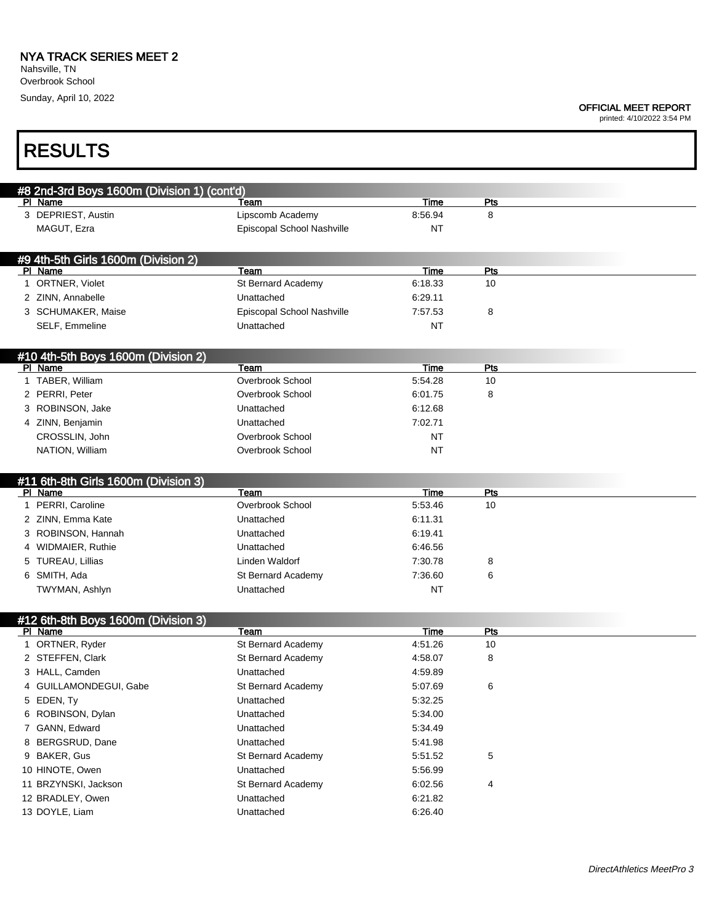#### OFFICIAL MEET REPORT

printed: 4/10/2022 3:54 PM

| <b>RESULTS</b>                              |                            |           |            |  |
|---------------------------------------------|----------------------------|-----------|------------|--|
| #8 2nd-3rd Boys 1600m (Division 1) (cont'd) |                            |           |            |  |
| PI Name                                     | Team                       | Time      | Pts        |  |
| 3 DEPRIEST, Austin                          | Lipscomb Academy           | 8:56.94   | 8          |  |
| MAGUT, Ezra                                 | Episcopal School Nashville | ΝT        |            |  |
| #9 4th-5th Girls 1600m (Division 2)         |                            |           |            |  |
| PI Name                                     | Team                       | Time      | Pts        |  |
| 1 ORTNER, Violet                            | St Bernard Academy         | 6:18.33   | 10         |  |
| 2 ZINN, Annabelle                           | Unattached                 | 6:29.11   |            |  |
| 3 SCHUMAKER, Maise                          | Episcopal School Nashville | 7:57.53   | 8          |  |
| SELF, Emmeline                              | Unattached                 | <b>NT</b> |            |  |
| #10 4th-5th Boys 1600m (Division 2)         |                            |           |            |  |
| PI Name                                     | Team                       | Time      | Pts        |  |
| 1 TABER, William                            | Overbrook School           | 5:54.28   | 10         |  |
| 2 PERRI, Peter                              | Overbrook School           | 6:01.75   | 8          |  |
| 3 ROBINSON, Jake                            | Unattached                 | 6:12.68   |            |  |
| 4 ZINN, Benjamin                            | Unattached                 | 7:02.71   |            |  |
| CROSSLIN, John                              | Overbrook School           | <b>NT</b> |            |  |
| NATION, William                             | Overbrook School           | <b>NT</b> |            |  |
| #11 6th-8th Girls 1600m (Division 3)        |                            |           |            |  |
| PI Name                                     | Team                       | Time      | Pts        |  |
| 1 PERRI, Caroline                           | Overbrook School           | 5:53.46   | 10         |  |
| 2 ZINN, Emma Kate                           | Unattached                 | 6:11.31   |            |  |
| 3 ROBINSON, Hannah                          | Unattached                 | 6:19.41   |            |  |
| 4 WIDMAIER, Ruthie                          | Unattached                 | 6:46.56   |            |  |
| 5 TUREAU, Lillias                           | Linden Waldorf             | 7:30.78   | 8          |  |
| 6 SMITH, Ada                                | St Bernard Academy         | 7:36.60   | 6          |  |
| TWYMAN, Ashlyn                              | Unattached                 | <b>NT</b> |            |  |
| #12 6th-8th Boys 1600m (Division 3)         |                            |           |            |  |
| PI Name                                     | Team                       | Time      | <b>Pts</b> |  |
| 1 ORTNER, Ryder                             | St Bernard Academy         | 4:51.26   | 10         |  |
| 2 STEFFEN, Clark                            | St Bernard Academy         | 4:58.07   | 8          |  |
| 3 HALL, Camden                              | Unattached                 | 4:59.89   |            |  |
| 4 GUILLAMONDEGUI, Gabe                      | St Bernard Academy         | 5:07.69   | 6          |  |
| 5 EDEN, Ty                                  | Unattached                 | 5:32.25   |            |  |
| 6 ROBINSON, Dylan                           | Unattached                 | 5:34.00   |            |  |
| 7 GANN, Edward                              | Unattached                 | 5:34.49   |            |  |
| 8 BERGSRUD, Dane                            | Unattached                 | 5:41.98   |            |  |
| 9 BAKER, Gus                                | St Bernard Academy         | 5:51.52   | 5          |  |
| 10 HINOTE, Owen                             | Unattached                 | 5:56.99   |            |  |
| 11 BRZYNSKI, Jackson                        | St Bernard Academy         | 6:02.56   | 4          |  |
| 12 BRADLEY, Owen                            | Unattached                 | 6:21.82   |            |  |
| 13 DOYLE, Liam                              | Unattached                 | 6:26.40   |            |  |
|                                             |                            |           |            |  |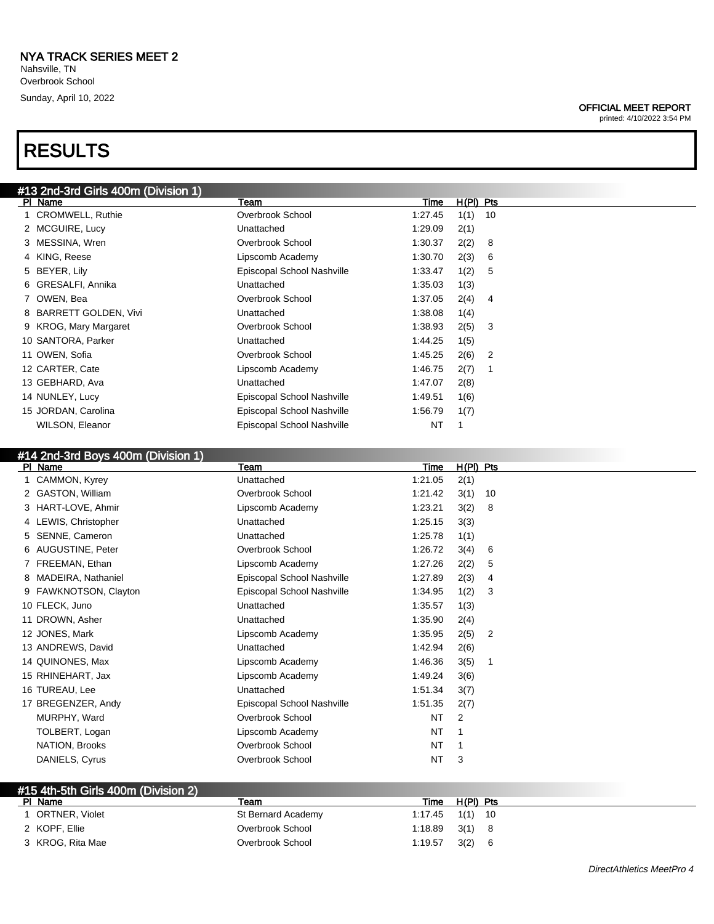# RESULTS

#### OFFICIAL MEET REPORT

printed: 4/10/2022 3:54 PM

| #13 2nd-3rd Girls 400m (Division 1) |                            |         |             |    |  |
|-------------------------------------|----------------------------|---------|-------------|----|--|
| PI Name                             | Team                       | Time    | $H(PI)$ Pts |    |  |
| 1 CROMWELL, Ruthie                  | Overbrook School           | 1:27.45 | 1(1)        | 10 |  |
| 2 MCGUIRE, Lucy                     | Unattached                 | 1:29.09 | 2(1)        |    |  |
| 3 MESSINA, Wren                     | Overbrook School           | 1:30.37 | 2(2)        | 8  |  |
| 4 KING, Reese                       | Lipscomb Academy           | 1:30.70 | 2(3)        | 6  |  |
| 5 BEYER, Lily                       | Episcopal School Nashville | 1:33.47 | 1(2)        | 5  |  |
| 6 GRESALFI, Annika                  | Unattached                 | 1:35.03 | 1(3)        |    |  |
| 7 OWEN, Bea                         | Overbrook School           | 1:37.05 | 2(4)        | 4  |  |
| 8 BARRETT GOLDEN, Vivi              | Unattached                 | 1:38.08 | 1(4)        |    |  |
| 9 KROG, Mary Margaret               | Overbrook School           | 1:38.93 | 2(5)        | 3  |  |
| 10 SANTORA, Parker                  | Unattached                 | 1:44.25 | 1(5)        |    |  |
| 11 OWEN, Sofia                      | Overbrook School           | 1:45.25 | 2(6)        | -2 |  |
| 12 CARTER, Cate                     | Lipscomb Academy           | 1:46.75 | 2(7)        | -1 |  |
| 13 GEBHARD, Ava                     | Unattached                 | 1:47.07 | 2(8)        |    |  |
| 14 NUNLEY, Lucy                     | Episcopal School Nashville | 1:49.51 | 1(6)        |    |  |
| 15 JORDAN, Carolina                 | Episcopal School Nashville | 1:56.79 | 1(7)        |    |  |
| <b>WILSON, Eleanor</b>              | Episcopal School Nashville | NT      |             |    |  |
|                                     |                            |         |             |    |  |

### #14 2nd-3rd Boys 400m (Division 1)

| PI Name               | Team                       | Time      | $H(PI)$ Pts |                |
|-----------------------|----------------------------|-----------|-------------|----------------|
| 1 CAMMON, Kyrey       | Unattached                 | 1:21.05   | 2(1)        |                |
| 2 GASTON, William     | Overbrook School           | 1:21.42   | 3(1)        | 10             |
| 3 HART-LOVE, Ahmir    | Lipscomb Academy           | 1:23.21   | 3(2)        | -8             |
| 4 LEWIS, Christopher  | Unattached                 | 1:25.15   | 3(3)        |                |
| 5 SENNE, Cameron      | Unattached                 | 1:25.78   | 1(1)        |                |
| 6 AUGUSTINE, Peter    | Overbrook School           | 1:26.72   | 3(4)        | 6              |
| 7 FREEMAN, Ethan      | Lipscomb Academy           | 1:27.26   | 2(2)        | 5              |
| 8 MADEIRA, Nathaniel  | Episcopal School Nashville | 1:27.89   | 2(3)        | 4              |
| 9 FAWKNOTSON, Clayton | Episcopal School Nashville | 1:34.95   | 1(2)        | 3              |
| 10 FLECK, Juno        | Unattached                 | 1:35.57   | 1(3)        |                |
| 11 DROWN, Asher       | Unattached                 | 1:35.90   | 2(4)        |                |
| 12 JONES, Mark        | Lipscomb Academy           | 1:35.95   | 2(5)        | $\overline{2}$ |
| 13 ANDREWS, David     | Unattached                 | 1:42.94   | 2(6)        |                |
| 14 QUINONES, Max      | Lipscomb Academy           | 1:46.36   | 3(5)        | $\overline{1}$ |
| 15 RHINEHART, Jax     | Lipscomb Academy           | 1:49.24   | 3(6)        |                |
| 16 TUREAU, Lee        | Unattached                 | 1:51.34   | 3(7)        |                |
| 17 BREGENZER, Andy    | Episcopal School Nashville | 1:51.35   | 2(7)        |                |
| MURPHY, Ward          | Overbrook School           | NT        | 2           |                |
| TOLBERT, Logan        | Lipscomb Academy           | <b>NT</b> |             |                |
| NATION, Brooks        | Overbrook School           | NT        |             |                |
| DANIELS, Cyrus        | Overbrook School           | NT        | 3           |                |
|                       |                            |           |             |                |

| #15 4th-5th Girls 400m (Division 2) |                    |         |           |  |
|-------------------------------------|--------------------|---------|-----------|--|
| PI Name                             | eam                | Time    | H(PI) Pts |  |
| <b>ORTNER, Violet</b>               | St Bernard Academy | 1:17.45 | $1(1)$ 10 |  |
| 2 KOPF, Ellie                       | Overbrook School   | 1:18.89 | $3(1)$ 8  |  |
| 3 KROG, Rita Mae                    | Overbrook School   | 1:19.57 | 3(2)      |  |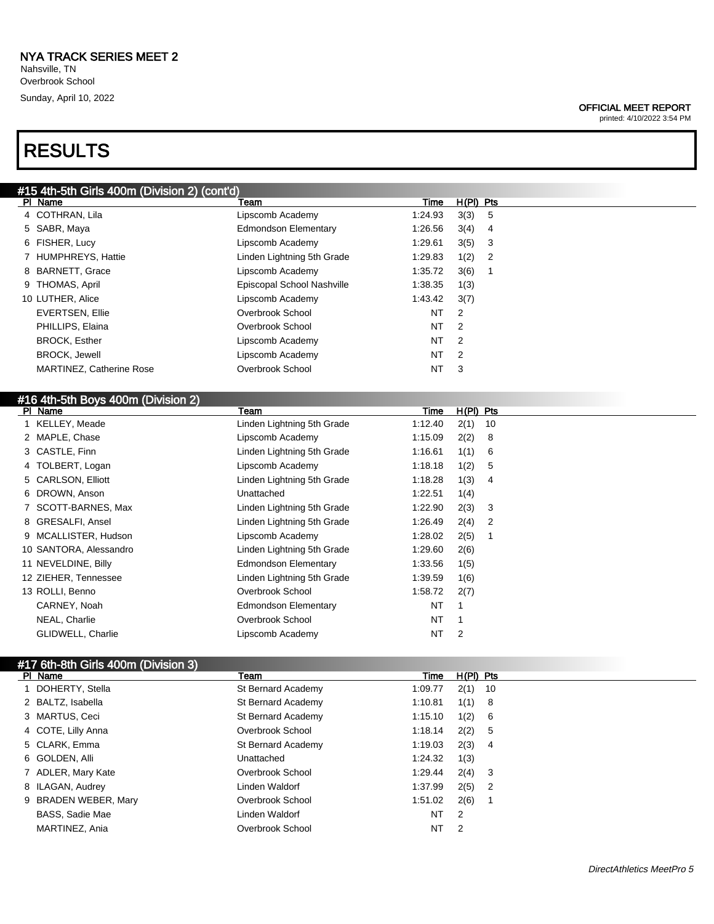# RESULTS

#### OFFICIAL MEET REPORT

printed: 4/10/2022 3:54 PM

| #15 4th-5th Girls 400m (Division 2) (cont'd) |                             |           |                |     |  |
|----------------------------------------------|-----------------------------|-----------|----------------|-----|--|
| PI Name                                      | Team                        | Time      | $H(PI)$ Pts    |     |  |
| 4 COTHRAN, Lila                              | Lipscomb Academy            | 1:24.93   | 3(3) 5         |     |  |
| 5 SABR, Maya                                 | <b>Edmondson Elementary</b> | 1:26.56   | $3(4)$ 4       |     |  |
| 6 FISHER, Lucy                               | Lipscomb Academy            | 1:29.61   | 3(5)           | - 3 |  |
| 7 HUMPHREYS, Hattie                          | Linden Lightning 5th Grade  | 1:29.83   | 1(2)           | 2   |  |
| 8 BARNETT, Grace                             | Lipscomb Academy            | 1:35.72   | 3(6)           |     |  |
| 9 THOMAS, April                              | Episcopal School Nashville  | 1:38.35   | 1(3)           |     |  |
| 10 LUTHER, Alice                             | Lipscomb Academy            | 1:43.42   | 3(7)           |     |  |
| <b>EVERTSEN, Ellie</b>                       | Overbrook School            | NT        | 2              |     |  |
| PHILLIPS, Elaina                             | Overbrook School            | NT        | $\overline{2}$ |     |  |
| <b>BROCK, Esther</b>                         | Lipscomb Academy            | NT        | -2             |     |  |
| <b>BROCK, Jewell</b>                         | Lipscomb Academy            | <b>NT</b> | $\overline{2}$ |     |  |
| <b>MARTINEZ, Catherine Rose</b>              | Overbrook School            | <b>NT</b> | -3             |     |  |
|                                              |                             |           |                |     |  |

| #16 4th-5th Boys 400m (Division 2) |                             |           |             |  |
|------------------------------------|-----------------------------|-----------|-------------|--|
| PI Name                            | Team                        | Time      | $H(PI)$ Pts |  |
| 1 KELLEY, Meade                    | Linden Lightning 5th Grade  | 1:12.40   | 2(1)<br>-10 |  |
| 2 MAPLE, Chase                     | Lipscomb Academy            | 1:15.09   | 2(2)<br>8   |  |
| 3 CASTLE, Finn                     | Linden Lightning 5th Grade  | 1:16.61   | 1(1)<br>6   |  |
| 4 TOLBERT, Logan                   | Lipscomb Academy            | 1:18.18   | 1(2)<br>5   |  |
| 5 CARLSON, Elliott                 | Linden Lightning 5th Grade  | 1:18.28   | 1(3)<br>4   |  |
| 6 DROWN, Anson                     | Unattached                  | 1:22.51   | 1(4)        |  |
| SCOTT-BARNES, Max                  | Linden Lightning 5th Grade  | 1:22.90   | 2(3)<br>3   |  |
| 8 GRESALFI, Ansel                  | Linden Lightning 5th Grade  | 1:26.49   | 2(4)<br>2   |  |
| 9 MCALLISTER, Hudson               | Lipscomb Academy            | 1:28.02   | 2(5)<br>1   |  |
| 10 SANTORA, Alessandro             | Linden Lightning 5th Grade  | 1:29.60   | 2(6)        |  |
| 11 NEVELDINE, Billy                | <b>Edmondson Elementary</b> | 1:33.56   | 1(5)        |  |
| 12 ZIEHER, Tennessee               | Linden Lightning 5th Grade  | 1:39.59   | 1(6)        |  |
| 13 ROLLI, Benno                    | Overbrook School            | 1:58.72   | 2(7)        |  |
| CARNEY, Noah                       | Edmondson Elementary        | NT        |             |  |
| NEAL, Charlie                      | Overbrook School            | <b>NT</b> |             |  |
| GLIDWELL, Charlie                  | Lipscomb Academy            | NT        | 2           |  |

# #17 6th-8th Girls 400m (Division 3)

| PI Name                | Team               | Time    | $H(PI)$ Pts |                            |
|------------------------|--------------------|---------|-------------|----------------------------|
| DOHERTY, Stella        | St Bernard Academy | 1:09.77 | 2(1)        | - 10                       |
| 2 BALTZ, Isabella      | St Bernard Academy | 1:10.81 | 1(1)        | - 8                        |
| 3 MARTUS, Ceci         | St Bernard Academy | 1:15.10 | 1(2)        | - 6                        |
| 4 COTE, Lilly Anna     | Overbrook School   | 1:18.14 | 2(2)        | -5                         |
| 5 CLARK, Emma          | St Bernard Academy | 1:19.03 | 2(3)        | 4                          |
| 6 GOLDEN, Alli         | Unattached         | 1:24.32 | 1(3)        |                            |
| 7 ADLER, Mary Kate     | Overbrook School   | 1:29.44 | 2(4)        | - 3                        |
| 8 ILAGAN, Audrey       | Linden Waldorf     | 1:37.99 | 2(5)        | $\overline{\phantom{0}}^2$ |
| 9 BRADEN WEBER, Mary   | Overbrook School   | 1:51.02 | 2(6)        |                            |
| <b>BASS, Sadie Mae</b> | Linden Waldorf     | NT      | -2          |                            |
| MARTINEZ, Ania         | Overbrook School   | NT      | -2          |                            |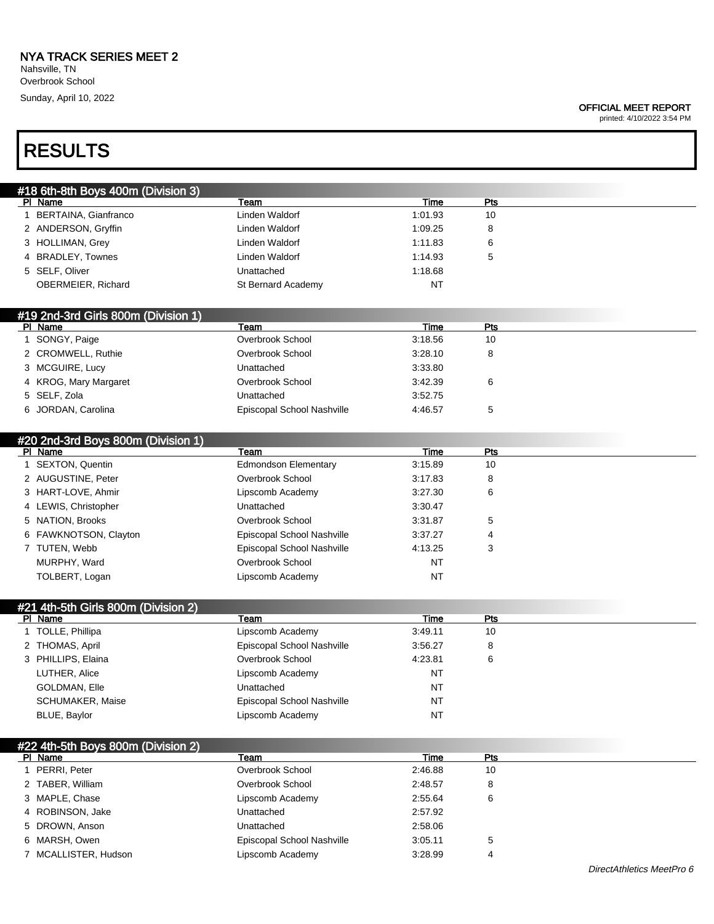Nahsville, TN Overbrook School Sunday, April 10, 2022

#### OFFICIAL MEET REPORT

printed: 4/10/2022 3:54 PM

# RESULTS

| #18 6th-8th Boys 400m (Division 3) |                    |         |     |
|------------------------------------|--------------------|---------|-----|
| PI Name                            | Team               | Time    | Pts |
| BERTAINA, Gianfranco               | Linden Waldorf     | 1:01.93 | 10  |
| 2 ANDERSON, Gryffin                | Linden Waldorf     | 1:09.25 | 8   |
| 3 HOLLIMAN, Grey                   | Linden Waldorf     | 1:11.83 | 6   |
| 4 BRADLEY, Townes                  | Linden Waldorf     | 1:14.93 | 5   |
| 5 SELF, Oliver                     | Unattached         | 1:18.68 |     |
| OBERMEIER, Richard                 | St Bernard Academy | NT      |     |

### #19 2nd-3rd Girls 800m (Division 1)

| PI Name               | Team                       | Time    | Pts |  |
|-----------------------|----------------------------|---------|-----|--|
| SONGY, Paige          | Overbrook School           | 3:18.56 | 10  |  |
| 2 CROMWELL, Ruthie    | Overbrook School           | 3:28.10 | 8   |  |
| 3 MCGUIRE, Lucy       | Unattached                 | 3:33.80 |     |  |
| 4 KROG, Mary Margaret | Overbrook School           | 3:42.39 | 6   |  |
| 5 SELF, Zola          | Unattached                 | 3:52.75 |     |  |
| 6 JORDAN, Carolina    | Episcopal School Nashville | 4:46.57 | 5   |  |

#### #20 2nd-3rd Boys 800m (Division 1)<br>Pl Name Pl Name Team Time Pts 1 SEXTON, Quentin Edmondson Elementary 3:15.89 10 2 AUGUSTINE, Peter **Disk overbrook School** 3:17.83 8 3 HART-LOVE, Ahmir Lipscomb Academy 3:27.30 6 4 LEWIS, Christopher Unattached 3:30.47 5 NATION, Brooks Overbrook School 3:31.87 5 6 FAWKNOTSON, Clayton Episcopal School Nashville 3:37.27 4 7 TUTEN, Webb **Episcopal School Nashville** 4:13.25 3 MURPHY, Ward **NT** Overbrook School NT TOLBERT, Logan NT COLBERT, Logan NT

### #21 4th-5th Girls 800m (Division 2)

| PI Name            | Team                       | Time      | Pts |  |
|--------------------|----------------------------|-----------|-----|--|
| TOLLE, Phillipa    | Lipscomb Academy           | 3:49.11   | 10  |  |
| 2 THOMAS, April    | Episcopal School Nashville | 3:56.27   | 8   |  |
| 3 PHILLIPS, Elaina | Overbrook School           | 4:23.81   | 6   |  |
| LUTHER, Alice      | Lipscomb Academy           | NT        |     |  |
| GOLDMAN, Elle      | Unattached                 | NT        |     |  |
| SCHUMAKER, Maise   | Episcopal School Nashville | NT        |     |  |
| BLUE, Baylor       | Lipscomb Academy           | <b>NT</b> |     |  |

| #22 4th-5th Boys 800m (Division 2) |                            |         |     |
|------------------------------------|----------------------------|---------|-----|
| PI Name                            | Team                       | Time    | Pts |
| PERRI, Peter                       | Overbrook School           | 2:46.88 | 10  |
| 2 TABER, William                   | Overbrook School           | 2:48.57 | 8   |
| 3 MAPLE, Chase                     | Lipscomb Academy           | 2:55.64 | 6   |
| 4 ROBINSON, Jake                   | Unattached                 | 2:57.92 |     |
| 5 DROWN, Anson                     | Unattached                 | 2:58.06 |     |
| 6 MARSH, Owen                      | Episcopal School Nashville | 3:05.11 | 5   |
| MCALLISTER, Hudson                 | Lipscomb Academy           | 3:28.99 | 4   |
|                                    |                            |         |     |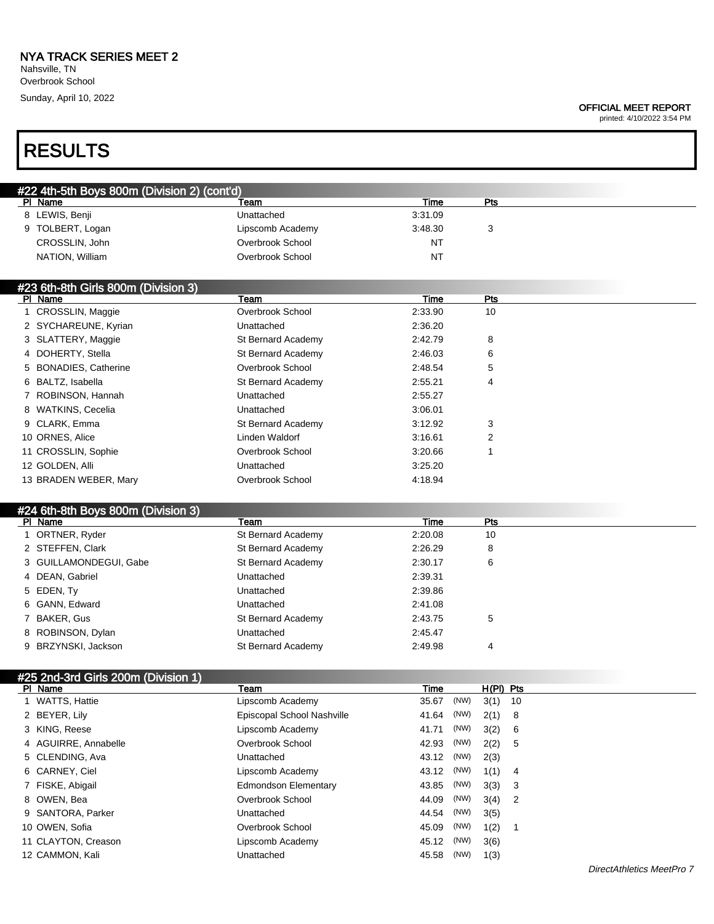Nahsville, TN Overbrook School Sunday, April 10, 2022

#### OFFICIAL MEET REPORT

printed: 4/10/2022 3:54 PM

# RESULTS

| #22 4th-5th Boys 800m (Division 2) (cont'd) |                  |           |     |  |  |
|---------------------------------------------|------------------|-----------|-----|--|--|
| PI Name                                     | Team             | Time      | Pts |  |  |
| 8 LEWIS, Benji                              | Unattached       | 3:31.09   |     |  |  |
| 9 TOLBERT, Logan                            | Lipscomb Academy | 3:48.30   |     |  |  |
| CROSSLIN, John                              | Overbrook School | <b>NT</b> |     |  |  |
| NATION, William                             | Overbrook School | <b>NT</b> |     |  |  |

#### #23 6th-8th Girls 800m (Division 3)

| PI Name |                       | Team               | Time    | Pts |
|---------|-----------------------|--------------------|---------|-----|
|         | 1 CROSSLIN, Maggie    | Overbrook School   | 2:33.90 | 10  |
|         | 2 SYCHAREUNE, Kyrian  | Unattached         | 2:36.20 |     |
|         | 3 SLATTERY, Maggie    | St Bernard Academy | 2:42.79 | 8   |
|         | 4 DOHERTY, Stella     | St Bernard Academy | 2:46.03 | 6   |
|         | 5 BONADIES, Catherine | Overbrook School   | 2:48.54 | 5   |
|         | 6 BALTZ, Isabella     | St Bernard Academy | 2:55.21 | 4   |
|         | 7 ROBINSON, Hannah    | Unattached         | 2:55.27 |     |
|         | 8 WATKINS, Cecelia    | Unattached         | 3:06.01 |     |
|         | 9 CLARK, Emma         | St Bernard Academy | 3:12.92 | 3   |
|         | 10 ORNES, Alice       | Linden Waldorf     | 3:16.61 | 2   |
|         | 11 CROSSLIN, Sophie   | Overbrook School   | 3:20.66 |     |
|         | 12 GOLDEN, Alli       | Unattached         | 3:25.20 |     |
|         | 13 BRADEN WEBER, Mary | Overbrook School   | 4:18.94 |     |

# #24 6th-8th Boys 800m (Division 3)

| PI Name                | Team               | Time    | Pts |
|------------------------|--------------------|---------|-----|
| 1 ORTNER, Ryder        | St Bernard Academy | 2:20.08 | 10  |
| 2 STEFFEN, Clark       | St Bernard Academy | 2:26.29 | 8   |
| 3 GUILLAMONDEGUI, Gabe | St Bernard Academy | 2:30.17 | 6   |
| 4 DEAN, Gabriel        | Unattached         | 2:39.31 |     |
| 5 EDEN, Ty             | Unattached         | 2:39.86 |     |
| 6 GANN, Edward         | Unattached         | 2:41.08 |     |
| 7 BAKER, Gus           | St Bernard Academy | 2:43.75 | 5   |
| 8 ROBINSON, Dylan      | Unattached         | 2:45.47 |     |
| 9 BRZYNSKI, Jackson    | St Bernard Academy | 2:49.98 | 4   |

| #25 2nd-3rd Girls 200m (Division 1) |                            |       |      |             |        |
|-------------------------------------|----------------------------|-------|------|-------------|--------|
| PI Name                             | Team                       | Time  |      | $H(PI)$ Pts |        |
| 1 WATTS, Hattie                     | Lipscomb Academy           | 35.67 | (NW) | $3(1)$ 10   |        |
| 2 BEYER, Lily                       | Episcopal School Nashville | 41.64 | (NW) | 2(1)        | - 8    |
| 3 KING, Reese                       | Lipscomb Academy           | 41.71 | (NW) | 3(2)        | - 6    |
| 4 AGUIRRE, Annabelle                | Overbrook School           | 42.93 | (NW) | 2(2)        | - 5    |
| 5 CLENDING, Ava                     | Unattached                 | 43.12 | (NW) | 2(3)        |        |
| 6 CARNEY, Ciel                      | Lipscomb Academy           | 43.12 | (NW) | 1(1)        | -4     |
| 7 FISKE, Abigail                    | Edmondson Elementary       | 43.85 | (NW) | 3(3)        | $_{3}$ |
| 8 OWEN, Bea                         | Overbrook School           | 44.09 | (NW) | $3(4)$ 2    |        |
| 9 SANTORA, Parker                   | Unattached                 | 44.54 | (NW) | 3(5)        |        |
| 10 OWEN, Sofia                      | Overbrook School           | 45.09 | (NW) | 1(2)        |        |
| 11 CLAYTON, Creason                 | Lipscomb Academy           | 45.12 | (NW) | 3(6)        |        |
| 12 CAMMON, Kali                     | Unattached                 | 45.58 | (NW) | 1(3)        |        |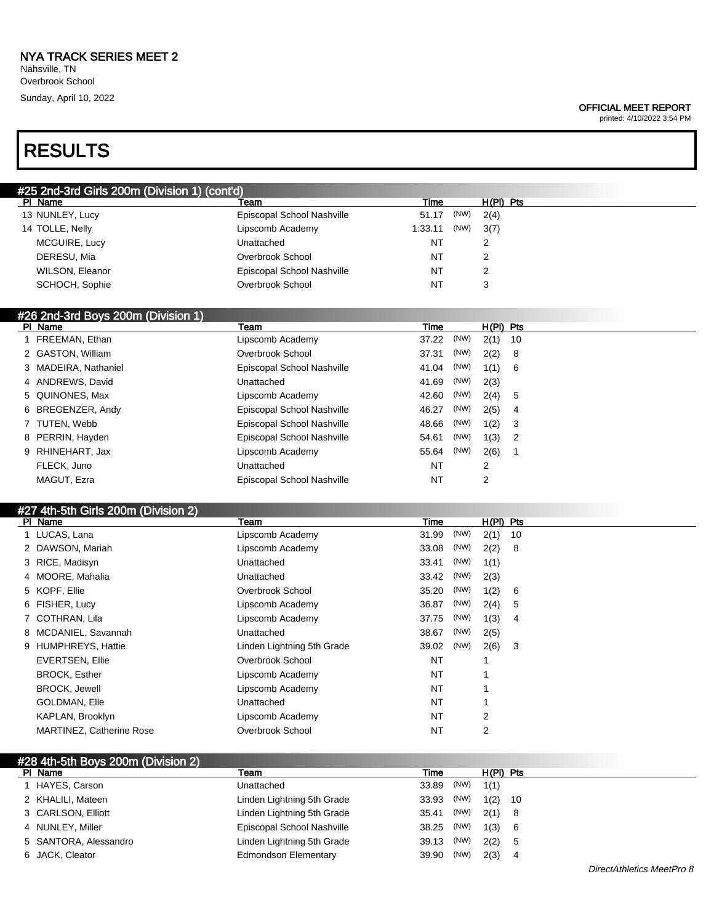#### OFFICIAL MEET REPORT

printed: 4/10/2022 3:54 PM

# RESULTS

| #25 2nd-3rd Girls 200m (Division 1) (cont'd) |                            |                 |             |  |  |  |  |
|----------------------------------------------|----------------------------|-----------------|-------------|--|--|--|--|
| PI Name                                      | Team                       | Time            | $H(PI)$ Pts |  |  |  |  |
| 13 NUNLEY, Lucy                              | Episcopal School Nashville | (NW)<br>51.17   | 2(4)        |  |  |  |  |
| 14 TOLLE, Nelly                              | Lipscomb Academy           | (NW)<br>1:33.11 | 3(7)        |  |  |  |  |
| MCGUIRE, Lucy                                | Unattached                 | NT              | 2           |  |  |  |  |
| DERESU, Mia                                  | Overbrook School           | <b>NT</b>       | 2           |  |  |  |  |
| WILSON, Eleanor                              | Episcopal School Nashville | NT              | 2           |  |  |  |  |
| SCHOCH, Sophie                               | Overbrook School           | NT              | 3           |  |  |  |  |

#### #26 2nd-3rd Boys 200m (Division 1)

| PI Name              | Team                       | Time      |      | $H(PI)$ Pts |     |
|----------------------|----------------------------|-----------|------|-------------|-----|
| FREEMAN, Ethan       | Lipscomb Academy           | 37.22     | (NW) | 2(1)        | 10  |
| 2 GASTON, William    | Overbrook School           | 37.31     | (NW) | 2(2)        | - 8 |
| 3 MADEIRA, Nathaniel | Episcopal School Nashville | 41.04     | (NW) | 1(1)        | - 6 |
| 4 ANDREWS, David     | Unattached                 | 41.69     | (NW) | 2(3)        |     |
| 5 QUINONES, Max      | Lipscomb Academy           | 42.60     | (NW) | 2(4) 5      |     |
| 6 BREGENZER, Andy    | Episcopal School Nashville | 46.27     | (NW) | 2(5)        | - 4 |
| 7 TUTEN, Webb        | Episcopal School Nashville | 48.66     | (NW) | 1(2)        | - 3 |
| 8 PERRIN, Hayden     | Episcopal School Nashville | 54.61     | (NW) | 1(3)        | - 2 |
| 9 RHINEHART, Jax     | Lipscomb Academy           | 55.64     | (NW) | 2(6)        |     |
| FLECK, Juno          | Unattached                 | <b>NT</b> |      | 2           |     |
| MAGUT, Ezra          | Episcopal School Nashville | <b>NT</b> |      | 2           |     |

## #27 4th-5th Girls 200m (Division 2)

| PI Name                         | <b>Team</b>                | Time      |      | $H(PI)$ Pts |      |
|---------------------------------|----------------------------|-----------|------|-------------|------|
| 1 LUCAS, Lana                   | Lipscomb Academy           | 31.99     | (NW) | 2(1)        | - 10 |
| 2 DAWSON, Mariah                | Lipscomb Academy           | 33.08     | (NW) | 2(2)        | - 8  |
| 3 RICE, Madisyn                 | Unattached                 | 33.41     | (NW) | 1(1)        |      |
| 4 MOORE, Mahalia                | Unattached                 | 33.42     | (NW) | 2(3)        |      |
| 5 KOPF, Ellie                   | Overbrook School           | 35.20     | (NW) | 1(2)        | -6   |
| 6 FISHER, Lucy                  | Lipscomb Academy           | 36.87     | (NW) | 2(4)        | -5   |
| 7 COTHRAN, Lila                 | Lipscomb Academy           | 37.75     | (NW) | 1(3)        | -4   |
| 8 MCDANIEL, Savannah            | Unattached                 | 38.67     | (NW) | 2(5)        |      |
| 9 HUMPHREYS, Hattie             | Linden Lightning 5th Grade | 39.02     | (NW) | 2(6)        | - 3  |
| <b>EVERTSEN, Ellie</b>          | Overbrook School           | <b>NT</b> |      |             |      |
| <b>BROCK, Esther</b>            | Lipscomb Academy           | NT        |      |             |      |
| <b>BROCK, Jewell</b>            | Lipscomb Academy           | <b>NT</b> |      |             |      |
| GOLDMAN, Elle                   | Unattached                 | <b>NT</b> |      |             |      |
| KAPLAN, Brooklyn                | Lipscomb Academy           | NT        |      | 2           |      |
| <b>MARTINEZ, Catherine Rose</b> | Overbrook School           | NT        |      | 2           |      |

#### #28 4th-5th Boys 200m (Division 2)

| PI Name               | Team                        | Time  |      | H(PI) Pts |      |
|-----------------------|-----------------------------|-------|------|-----------|------|
| 1 HAYES, Carson       | Unattached                  | 33.89 | (NW) | 1(1)      |      |
| 2 KHALILI, Mateen     | Linden Lightning 5th Grade  | 33.93 | (NW) | 1(2)      | - 10 |
| 3 CARLSON, Elliott    | Linden Lightning 5th Grade  | 35.41 | (NW) | 2(1)      | - 8  |
| 4 NUNLEY, Miller      | Episcopal School Nashville  | 38.25 | (NW) | 1(3)      | - 6  |
| 5 SANTORA, Alessandro | Linden Lightning 5th Grade  | 39.13 | (NW) | 2(2)      | -5   |
| 6 JACK, Cleator       | <b>Edmondson Elementary</b> | 39.90 | (NW) | 2(3)      | -4   |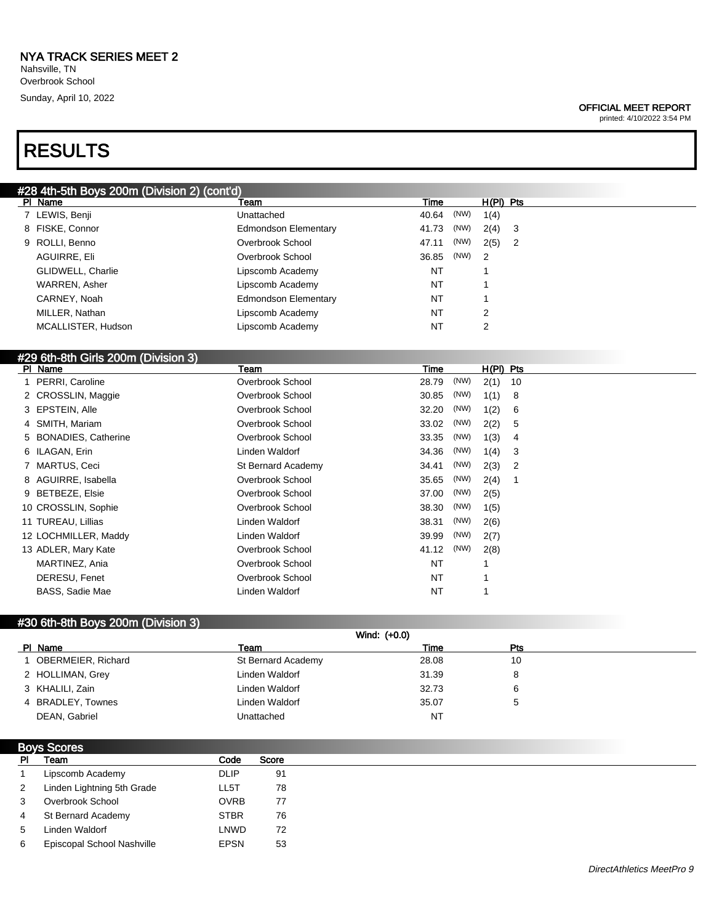Nahsville, TN Overbrook School Sunday, April 10, 2022

# RESULTS

#### OFFICIAL MEET REPORT

printed: 4/10/2022 3:54 PM

| #28 4th-5th Boys 200m (Division 2) (cont'd) |                             |           |      |             |                            |
|---------------------------------------------|-----------------------------|-----------|------|-------------|----------------------------|
| PI Name                                     | Team                        | Time      |      | $H(PI)$ Pts |                            |
| 7 LEWIS, Benji                              | Unattached                  | 40.64     | (NW) | 1(4)        |                            |
| 8 FISKE, Connor                             | <b>Edmondson Elementary</b> | 41.73     | (NW) | $2(4)$ 3    |                            |
| 9 ROLLI, Benno                              | Overbrook School            | 47.11     | (NW) | 2(5)        | $\overline{\phantom{0}}^2$ |
| AGUIRRE, Eli                                | Overbrook School            | 36.85     | (NW) | -2          |                            |
| GLIDWELL, Charlie                           | Lipscomb Academy            | NT        |      |             |                            |
| WARREN, Asher                               | Lipscomb Academy            | NT        |      |             |                            |
| CARNEY, Noah                                | <b>Edmondson Elementary</b> | <b>NT</b> |      |             |                            |
| MILLER, Nathan                              | Lipscomb Academy            | NT        |      | 2           |                            |
| MCALLISTER, Hudson                          | Lipscomb Academy            | NT        |      | 2           |                            |
|                                             |                             |           |      |             |                            |

## #29 6th-8th Girls 200m (Division 3)

| PI Name                | Team               | Time      |      | $H(PI)$ Pts |                |
|------------------------|--------------------|-----------|------|-------------|----------------|
| 1 PERRI, Caroline      | Overbrook School   | 28.79     | (NW) | 2(1)        | - 10           |
| 2 CROSSLIN, Maggie     | Overbrook School   | 30.85     | (NW) | 1(1)        | - 8            |
| 3 EPSTEIN, Alle        | Overbrook School   | 32.20     | (NW) | 1(2)        | 6              |
| 4 SMITH, Mariam        | Overbrook School   | 33.02     | (NW) | 2(2)        | 5              |
| 5 BONADIES, Catherine  | Overbrook School   | 33.35     | (NW) | 1(3)        | 4              |
| 6 ILAGAN, Erin         | Linden Waldorf     | 34.36     | (NW) | 1(4)        | -3             |
| 7 MARTUS, Ceci         | St Bernard Academy | 34.41     | (NW) | 2(3)        | $\overline{2}$ |
| 8 AGUIRRE, Isabella    | Overbrook School   | 35.65     | (NW) | 2(4)        | -1             |
| 9 BETBEZE, Elsie       | Overbrook School   | 37.00     | (NW) | 2(5)        |                |
| 10 CROSSLIN, Sophie    | Overbrook School   | 38.30     | (NW) | 1(5)        |                |
| 11 TUREAU, Lillias     | Linden Waldorf     | 38.31     | (NW) | 2(6)        |                |
| 12 LOCHMILLER, Maddy   | Linden Waldorf     | 39.99     | (NW) | 2(7)        |                |
| 13 ADLER, Mary Kate    | Overbrook School   | 41.12     | (NW) | 2(8)        |                |
| MARTINEZ, Ania         | Overbrook School   | <b>NT</b> |      |             |                |
| DERESU, Fenet          | Overbrook School   | <b>NT</b> |      |             |                |
| <b>BASS, Sadie Mae</b> | Linden Waldorf     | NT        |      |             |                |
|                        |                    |           |      |             |                |

### #30 6th-8th Boys 200m (Division 3)

|                      |                    | Wind: $(+0.0)$ |     |  |
|----------------------|--------------------|----------------|-----|--|
| PI Name              | Team               | Time           | Pts |  |
| 1 OBERMEIER, Richard | St Bernard Academy | 28.08          | 10  |  |
| 2 HOLLIMAN, Grey     | Linden Waldorf     | 31.39          |     |  |
| 3 KHALILI, Zain      | Linden Waldorf     | 32.73          |     |  |
| 4 BRADLEY, Townes    | Linden Waldorf     | 35.07          |     |  |
| DEAN, Gabriel        | Unattached         | NT             |     |  |

| <b>Boys Scores</b> |                            |             |       |
|--------------------|----------------------------|-------------|-------|
| <b>PI</b>          | Team                       | Code        | Score |
|                    | Lipscomb Academy           | <b>DLIP</b> | 91    |
| 2                  | Linden Lightning 5th Grade | LL5T        | 78    |
| 3                  | Overbrook School           | <b>OVRB</b> | 77    |
| 4                  | St Bernard Academy         | <b>STBR</b> | 76    |
| 5                  | Linden Waldorf             | LNWD        | 72    |
| 6                  | Episcopal School Nashville | <b>EPSN</b> | 53    |